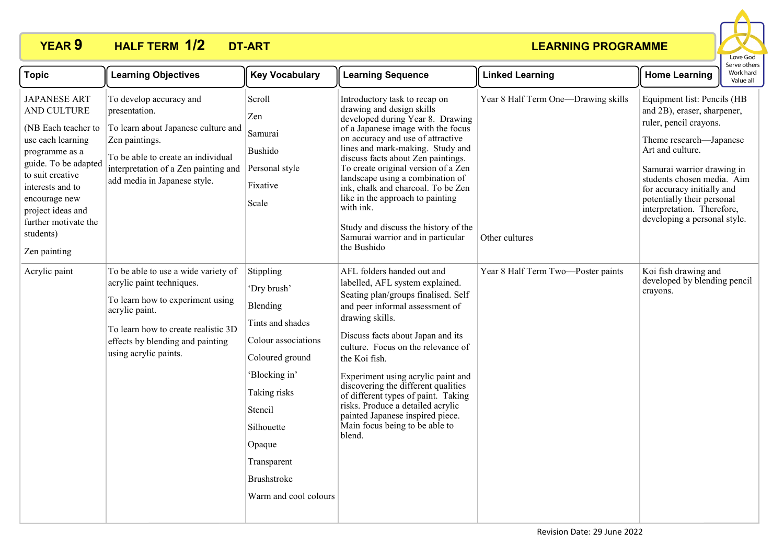## **YEAR 9 HALF TERM DT-ART 1/2**



| <b>Topic</b>                                                                                                                                                                                                                                                | <b>Learning Objectives</b>                                                                                                                                                                                                 | <b>Key Vocabulary</b>                                                                                                                                                                                                         | <b>Learning Sequence</b>                                                                                                                                                                                                                                                                                                                                                                                                                                                                                          | <b>Linked Learning</b>                                | serve other<br>Work hard<br><b>Home Learning</b><br>Value all                                                                                                                                                                                                                                                             |
|-------------------------------------------------------------------------------------------------------------------------------------------------------------------------------------------------------------------------------------------------------------|----------------------------------------------------------------------------------------------------------------------------------------------------------------------------------------------------------------------------|-------------------------------------------------------------------------------------------------------------------------------------------------------------------------------------------------------------------------------|-------------------------------------------------------------------------------------------------------------------------------------------------------------------------------------------------------------------------------------------------------------------------------------------------------------------------------------------------------------------------------------------------------------------------------------------------------------------------------------------------------------------|-------------------------------------------------------|---------------------------------------------------------------------------------------------------------------------------------------------------------------------------------------------------------------------------------------------------------------------------------------------------------------------------|
| <b>JAPANESE ART</b><br>AND CULTURE<br>(NB Each teacher to<br>use each learning<br>programme as a<br>guide. To be adapted<br>to suit creative<br>interests and to<br>encourage new<br>project ideas and<br>further motivate the<br>students)<br>Zen painting | To develop accuracy and<br>presentation.<br>To learn about Japanese culture and<br>Zen paintings.<br>To be able to create an individual<br>interpretation of a Zen painting and<br>add media in Japanese style.            | Scroll<br>Zen<br>Samurai<br>Bushido<br>Personal style<br>Fixative<br>Scale                                                                                                                                                    | Introductory task to recap on<br>drawing and design skills<br>developed during Year 8. Drawing<br>of a Japanese image with the focus<br>on accuracy and use of attractive<br>lines and mark-making. Study and<br>discuss facts about Zen paintings.<br>To create original version of a Zen<br>landscape using a combination of<br>ink, chalk and charcoal. To be Zen<br>like in the approach to painting<br>with ink.<br>Study and discuss the history of the<br>Samurai warrior and in particular<br>the Bushido | Year 8 Half Term One-Drawing skills<br>Other cultures | Equipment list: Pencils (HB<br>and 2B), eraser, sharpener,<br>ruler, pencil crayons.<br>Theme research-Japanese<br>Art and culture.<br>Samurai warrior drawing in<br>students chosen media. Aim<br>for accuracy initially and<br>potentially their personal<br>interpretation. Therefore,<br>developing a personal style. |
| Acrylic paint                                                                                                                                                                                                                                               | To be able to use a wide variety of<br>acrylic paint techniques.<br>To learn how to experiment using<br>acrylic paint.<br>To learn how to create realistic 3D<br>effects by blending and painting<br>using acrylic paints. | Stippling<br>'Dry brush'<br>Blending<br>Tints and shades<br>Colour associations<br>Coloured ground<br>'Blocking in'<br>Taking risks<br>Stencil<br>Silhouette<br>Opaque<br>Transparent<br>Brushstroke<br>Warm and cool colours | AFL folders handed out and<br>labelled, AFL system explained.<br>Seating plan/groups finalised. Self<br>and peer informal assessment of<br>drawing skills.<br>Discuss facts about Japan and its<br>culture. Focus on the relevance of<br>the Koi fish.<br>Experiment using acrylic paint and<br>discovering the different qualities<br>of different types of paint. Taking<br>risks. Produce a detailed acrylic<br>painted Japanese inspired piece.<br>Main focus being to be able to<br>blend.                   | Year 8 Half Term Two-Poster paints                    | Koi fish drawing and<br>developed by blending pencil<br>crayons.                                                                                                                                                                                                                                                          |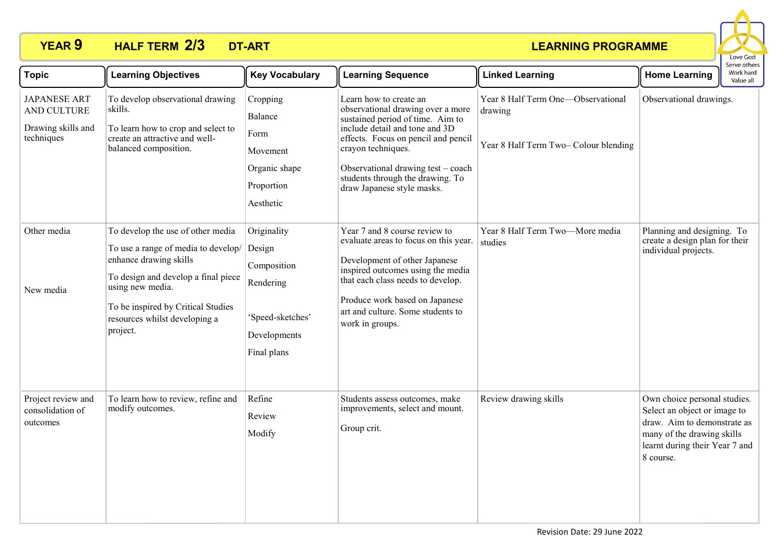## **YEAR 9 HALF TERM DT-ART 2/3**



| <b>Topic</b>                                                           | <b>Learning Objectives</b>                                                                                                                                                                                                                       | <b>Key Vocabulary</b>                                                                                | <b>Learning Sequence</b>                                                                                                                                                                                                                                                                               | <b>Linked Learning</b>                                                                 | <b>Home Learning</b>                                                                                                                                                     | Serve others<br>Work hard<br>Value all |
|------------------------------------------------------------------------|--------------------------------------------------------------------------------------------------------------------------------------------------------------------------------------------------------------------------------------------------|------------------------------------------------------------------------------------------------------|--------------------------------------------------------------------------------------------------------------------------------------------------------------------------------------------------------------------------------------------------------------------------------------------------------|----------------------------------------------------------------------------------------|--------------------------------------------------------------------------------------------------------------------------------------------------------------------------|----------------------------------------|
| <b>JAPANESE ART</b><br>AND CULTURE<br>Drawing skills and<br>techniques | To develop observational drawing<br>skills.<br>To learn how to crop and select to<br>create an attractive and well-<br>balanced composition.                                                                                                     | Cropping<br>Balance<br>Form<br>Movement<br>Organic shape<br>Proportion<br>Aesthetic                  | Learn how to create an<br>observational drawing over a more<br>sustained period of time. Aim to<br>include detail and tone and 3D<br>effects. Focus on pencil and pencil<br>crayon techniques.<br>Observational drawing test - coach<br>students through the drawing. To<br>draw Japanese style masks. | Year 8 Half Term One-Observational<br>drawing<br>Year 8 Half Term Two- Colour blending | Observational drawings.                                                                                                                                                  |                                        |
| Other media<br>New media                                               | To develop the use of other media<br>To use a range of media to develop/<br>enhance drawing skills<br>To design and develop a final piece<br>using new media.<br>To be inspired by Critical Studies<br>resources whilst developing a<br>project. | Originality<br>Design<br>Composition<br>Rendering<br>'Speed-sketches'<br>Developments<br>Final plans | Year 7 and 8 course review to<br>evaluate areas to focus on this year.<br>Development of other Japanese<br>inspired outcomes using the media<br>that each class needs to develop.<br>Produce work based on Japanese<br>art and culture. Some students to<br>work in groups.                            | Year 8 Half Term Two-More media<br>studies                                             | Planning and designing. To<br>create a design plan for their<br>individual projects.                                                                                     |                                        |
| Project review and<br>consolidation of<br>outcomes                     | To learn how to review, refine and<br>modify outcomes.                                                                                                                                                                                           | Refine<br>Review<br>Modify                                                                           | Students assess outcomes, make<br>improvements, select and mount.<br>Group crit.                                                                                                                                                                                                                       | Review drawing skills                                                                  | Own choice personal studies.<br>Select an object or image to<br>draw. Aim to demonstrate as<br>many of the drawing skills<br>learnt during their Year 7 and<br>8 course. |                                        |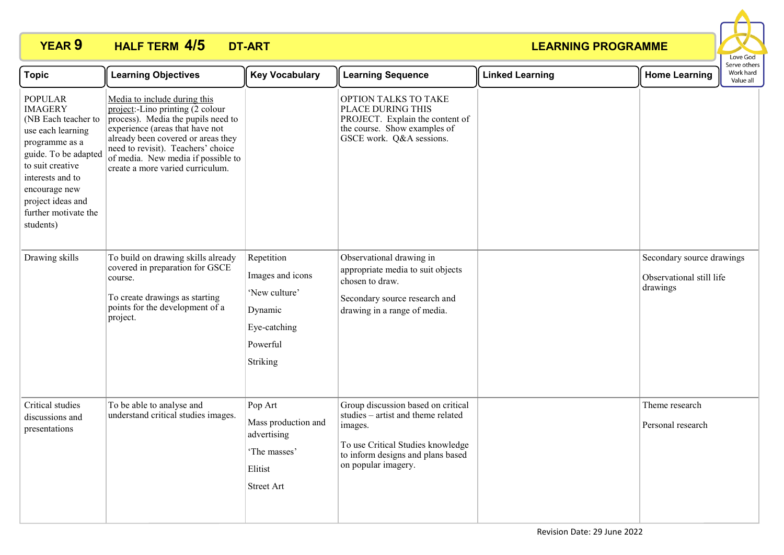## **YEAR 9 HALF TERM DT-ART 4/5**



| <b>Topic</b>                                                                                                                                                                                                                              | <b>Learning Objectives</b>                                                                                                                                                                                                                                                                                    | <b>Key Vocabulary</b>                                                                              | <b>Learning Sequence</b>                                                                                                                                                             | <b>Linked Learning</b> | <b>Home Learning</b>                                              | Serve others<br>Work hard<br>Value all |
|-------------------------------------------------------------------------------------------------------------------------------------------------------------------------------------------------------------------------------------------|---------------------------------------------------------------------------------------------------------------------------------------------------------------------------------------------------------------------------------------------------------------------------------------------------------------|----------------------------------------------------------------------------------------------------|--------------------------------------------------------------------------------------------------------------------------------------------------------------------------------------|------------------------|-------------------------------------------------------------------|----------------------------------------|
| <b>POPULAR</b><br><b>IMAGERY</b><br>(NB Each teacher to<br>use each learning<br>programme as a<br>guide. To be adapted<br>to suit creative<br>interests and to<br>encourage new<br>project ideas and<br>further motivate the<br>students) | Media to include during this<br>$project:$ -Lino printing $(2 \text{ colour})$<br>process). Media the pupils need to<br>experience (areas that have not<br>already been covered or areas they<br>need to revisit). Teachers' choice<br>of media. New media if possible to<br>create a more varied curriculum. |                                                                                                    | OPTION TALKS TO TAKE<br>PLACE DURING THIS<br>PROJECT. Explain the content of<br>the course. Show examples of<br>GSCE work. Q&A sessions.                                             |                        |                                                                   |                                        |
| Drawing skills                                                                                                                                                                                                                            | To build on drawing skills already<br>covered in preparation for GSCE<br>course.<br>To create drawings as starting<br>points for the development of a<br>project.                                                                                                                                             | Repetition<br>Images and icons<br>'New culture'<br>Dynamic<br>Eye-catching<br>Powerful<br>Striking | Observational drawing in<br>appropriate media to suit objects<br>chosen to draw.<br>Secondary source research and<br>drawing in a range of media.                                    |                        | Secondary source drawings<br>Observational still life<br>drawings |                                        |
| Critical studies<br>discussions and<br>presentations                                                                                                                                                                                      | To be able to analyse and<br>understand critical studies images.                                                                                                                                                                                                                                              | Pop Art<br>Mass production and<br>advertising<br>'The masses'<br>Elitist<br><b>Street Art</b>      | Group discussion based on critical<br>studies – artist and theme related<br>images.<br>To use Critical Studies knowledge<br>to inform designs and plans based<br>on popular imagery. |                        | Theme research<br>Personal research                               |                                        |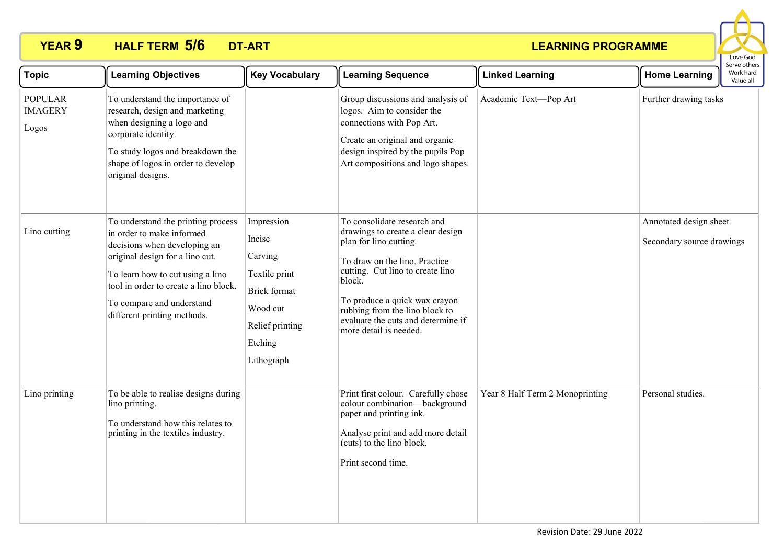## **YEAR 9 HALF TERM DT-ART 5/6**



| <b>Topic</b>                              | <b>Learning Objectives</b>                                                                                                                                                                                                                                                  | <b>Key Vocabulary</b>                                                                                                    | <b>Learning Sequence</b>                                                                                                                                                                                                                                                                                     | <b>Linked Learning</b>          | <b>Home Learning</b>                                | Work hard<br>Value all |  |
|-------------------------------------------|-----------------------------------------------------------------------------------------------------------------------------------------------------------------------------------------------------------------------------------------------------------------------------|--------------------------------------------------------------------------------------------------------------------------|--------------------------------------------------------------------------------------------------------------------------------------------------------------------------------------------------------------------------------------------------------------------------------------------------------------|---------------------------------|-----------------------------------------------------|------------------------|--|
| <b>POPULAR</b><br><b>IMAGERY</b><br>Logos | To understand the importance of<br>research, design and marketing<br>when designing a logo and<br>corporate identity.<br>To study logos and breakdown the<br>shape of logos in order to develop<br>original designs.                                                        |                                                                                                                          | Group discussions and analysis of<br>logos. Aim to consider the<br>connections with Pop Art.<br>Create an original and organic<br>design inspired by the pupils Pop<br>Art compositions and logo shapes.                                                                                                     | Academic Text-Pop Art           | Further drawing tasks                               |                        |  |
| Lino cutting                              | To understand the printing process<br>in order to make informed<br>decisions when developing an<br>original design for a lino cut.<br>To learn how to cut using a lino<br>tool in order to create a lino block.<br>To compare and understand<br>different printing methods. | Impression<br>Incise<br>Carving<br>Textile print<br>Brick format<br>Wood cut<br>Relief printing<br>Etching<br>Lithograph | To consolidate research and<br>drawings to create a clear design<br>plan for lino cutting.<br>To draw on the lino. Practice<br>cutting. Cut lino to create lino<br>block.<br>To produce a quick wax crayon<br>rubbing from the lino block to<br>evaluate the cuts and determine if<br>more detail is needed. |                                 | Annotated design sheet<br>Secondary source drawings |                        |  |
| Lino printing                             | To be able to realise designs during<br>lino printing.<br>To understand how this relates to<br>printing in the textiles industry.                                                                                                                                           |                                                                                                                          | Print first colour. Carefully chose<br>colour combination-background<br>paper and printing ink.<br>Analyse print and add more detail<br>(cuts) to the lino block.<br>Print second time.                                                                                                                      | Year 8 Half Term 2 Monoprinting | Personal studies.                                   |                        |  |